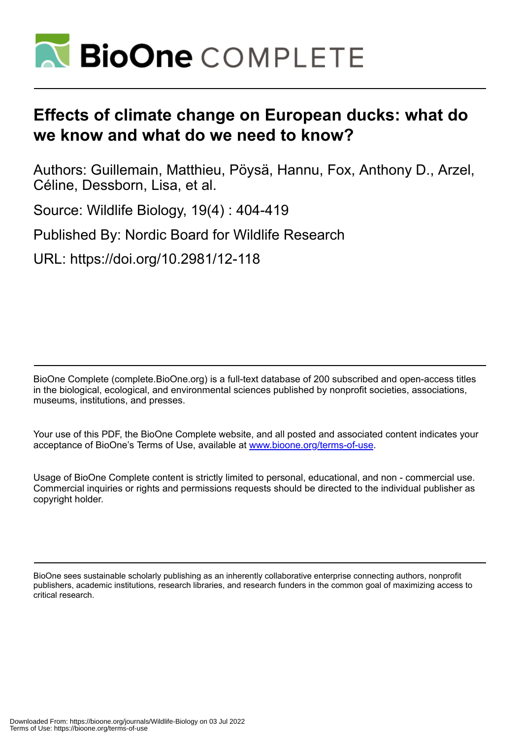

## **Effects of climate change on European ducks: what do we know and what do we need to know?**

Authors: Guillemain, Matthieu, Pöysä, Hannu, Fox, Anthony D., Arzel, Céline, Dessborn, Lisa, et al.

Source: Wildlife Biology, 19(4) : 404-419

Published By: Nordic Board for Wildlife Research

URL: https://doi.org/10.2981/12-118

BioOne Complete (complete.BioOne.org) is a full-text database of 200 subscribed and open-access titles in the biological, ecological, and environmental sciences published by nonprofit societies, associations, museums, institutions, and presses.

Your use of this PDF, the BioOne Complete website, and all posted and associated content indicates your acceptance of BioOne's Terms of Use, available at www.bioone.org/terms-of-use.

Usage of BioOne Complete content is strictly limited to personal, educational, and non - commercial use. Commercial inquiries or rights and permissions requests should be directed to the individual publisher as copyright holder.

BioOne sees sustainable scholarly publishing as an inherently collaborative enterprise connecting authors, nonprofit publishers, academic institutions, research libraries, and research funders in the common goal of maximizing access to critical research.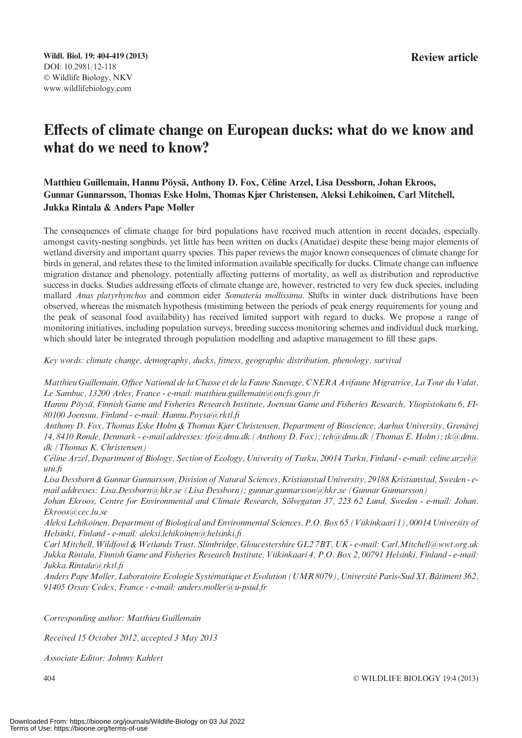### Effects of climate change on European ducks: what do we know and what do we need to know?

#### Matthieu Guillemain, Hannu Pövsä, Anthony D. Fox, Céline Arzel, Lisa Dessborn, Johan Ekroos, Gunnar Gunnarsson, Thomas Eske Holm, Thomas Kjær Christensen, Aleksi Lehikoinen, Carl Mitchell, Jukka Rintala & Anders Pape Møller

The consequences of climate change for bird populations have received much attention in recent decades, especially amongst cavity-nesting songbirds, yet little has been written on ducks (Anatidae) despite these being major elements of wetland diversity and important quarry species. This paper reviews the major known consequences of climate change for birds in general, and relates these to the limited information available specifically for ducks. Climate change can influence migration distance and phenology, potentially affecting patterns of mortality, as well as distribution and reproductive success in ducks. Studies addressing effects of climate change are, however, restricted to very few duck species, including mallard Anas platyrhynchos and common eider Somateria mollissima. Shifts in winter duck distributions have been observed, whereas the mismatch hypothesis (mistiming between the periods of peak energy requirements for young and the peak of seasonal food availability) has received limited support with regard to ducks. We propose a range of monitoring initiatives, including population surveys, breeding success monitoring schemes and individual duck marking, which should later be integrated through population modelling and adaptive management to fill these gaps.

Key words: climate change, demography, ducks, fitness, geographic distribution, phenology, survival

Matthieu Guillemain, Office National de la Chasse et de la Faune Sauvage, CNERA Avifaune Migratrice, La Tour du Valat, Le Sambuc, 13200 Arles, France - e-mail: matthieu.guillemain@oncfs.gouv.fr

Hannu Pöysä, Finnish Game and Fisheries Research Institute, Joensuu Game and Fisheries Research, Yliopistokatu 6, FI-80100 Joensuu, Finland - e-mail: Hannu.Poysa@rktl.fi

Anthony D. Fox, Thomas Eske Holm & Thomas Kjær Christensen, Department of Bioscience, Aarhus University, Grenåvej 14, 8410 Rønde, Denmark - e-mail addresses: tfo@dmu.dk (Anthony D. Fox); teh@dmu.dk (Thomas E. Holm); tk@dmu. dk (Thomas K. Christensen)

Céline Arzel, Department of Biology, Section of Ecology, University of Turku, 20014 Turku, Finland - e-mail: celine.arzel@ utu.fi

Lisa Dessborn & Gunnar Gunnarsson, Division of Natural Sciences, Kristianstad University, 29188 Kristianstad, Sweden - email addresses: Lisa.Dessborn@hkr.se (Lisa Dessborn); gunnar.gunnarsson@hkr.se (Gunnar Gunnarsson)

Johan Ekroos, Centre for Environmental and Climate Research, Sölvegatan 37, 223 62 Lund, Sweden - e-mail: Johan. Ekroos@cec.lu.se

Aleksi Lehikoinen, Department of Biological and Environmental Sciences, P.O. Box 65 (Viikinkaari 1), 00014 University of Helsinki, Finland - e-mail: aleksi.lehikoinen@helsinki.fi

Carl Mitchell, Wildfowl & Wetlands Trust, Slimbridge, Gloucestershire GL2 7BT, UK - e-mail: Carl.Mitchell@wwt.org.uk Jukka Rintala, Finnish Game and Fisheries Research Institute, Viikinkaari 4, P.O. Box 2, 00791 Helsinki, Finland - e-mail: Jukka.Rintala@rktl.fi

Anders Pape Møller, Laboratoire Ecologie Systématique et Evolution (UMR 8079), Université Paris-Sud XI, Bâtiment 362, 91405 Orsay Cedex, France - e-mail: anders.moller@u-psud.fr

Corresponding author: Matthieu Guillemain

Received 15 October 2012, accepted 3 May 2013

Associate Editor: Johnny Kahlert

 $404$ 

WILDLIFE BIOLOGY 19:4 (2013)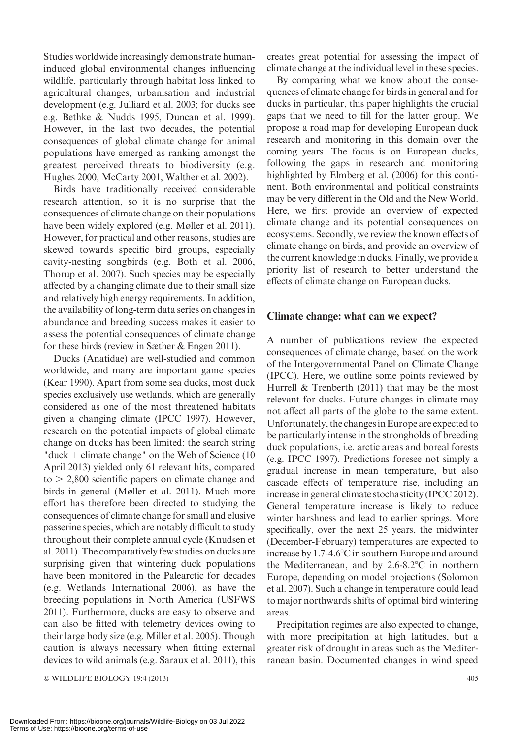Studies worldwide increasingly demonstrate humaninduced global environmental changes influencing wildlife, particularly through habitat loss linked to agricultural changes, urbanisation and industrial development (e.g. Julliard et al. 2003; for ducks see e.g. Bethke & Nudds 1995, Duncan et al. 1999). However, in the last two decades, the potential consequences of global climate change for animal populations have emerged as ranking amongst the greatest perceived threats to biodiversity (e.g. Hughes 2000, McCarty 2001, Walther et al. 2002).

Birds have traditionally received considerable research attention, so it is no surprise that the consequences of climate change on their populations have been widely explored (e.g. Møller et al. 2011). However, for practical and other reasons, studies are skewed towards specific bird groups, especially cavity-nesting songbirds (e.g. Both et al. 2006, Thorup et al. 2007). Such species may be especially affected by a changing climate due to their small size and relatively high energy requirements. In addition, the availability of long-term data series on changes in abundance and breeding success makes it easier to assess the potential consequences of climate change for these birds (review in Sæther & Engen 2011).

Ducks (Anatidae) are well-studied and common worldwide, and many are important game species (Kear 1990). Apart from some sea ducks, most duck species exclusively use wetlands, which are generally considered as one of the most threatened habitats given a changing climate (IPCC 1997). However, research on the potential impacts of global climate change on ducks has been limited: the search string "duck  $+$  climate change" on the Web of Science (10) April 2013) yielded only 61 relevant hits, compared  $to$   $>$  2,800 scientific papers on climate change and birds in general (Møller et al. 2011). Much more effort has therefore been directed to studying the consequences of climate change for small and elusive passerine species, which are notably difficult to study throughout their complete annual cycle (Knudsen et al. 2011). The comparatively few studies on ducks are surprising given that wintering duck populations have been monitored in the Palearctic for decades (e.g. Wetlands International 2006), as have the breeding populations in North America (USFWS 2011). Furthermore, ducks are easy to observe and can also be fitted with telemetry devices owing to their large body size (e.g. Miller et al. 2005). Though caution is always necessary when fitting external devices to wild animals (e.g. Saraux et al. 2011), this

© WILDLIFE BIOLOGY 19:4 (2013) 405

creates great potential for assessing the impact of climate change at the individual level in these species.

By comparing what we know about the consequences of climate change for birds in general and for ducks in particular, this paper highlights the crucial gaps that we need to fill for the latter group. We propose a road map for developing European duck research and monitoring in this domain over the coming years. The focus is on European ducks, following the gaps in research and monitoring highlighted by Elmberg et al. (2006) for this continent. Both environmental and political constraints may be very different in the Old and the New World. Here, we first provide an overview of expected climate change and its potential consequences on ecosystems. Secondly, we review the known effects of climate change on birds, and provide an overview of the current knowledge in ducks. Finally, we provide a priority list of research to better understand the effects of climate change on European ducks.

#### Climate change: what can we expect?

A number of publications review the expected consequences of climate change, based on the work of the Intergovernmental Panel on Climate Change (IPCC). Here, we outline some points reviewed by Hurrell & Trenberth (2011) that may be the most relevant for ducks. Future changes in climate may not affect all parts of the globe to the same extent. Unfortunately, the changes in Europe are expected to be particularly intense in the strongholds of breeding duck populations, i.e. arctic areas and boreal forests (e.g. IPCC 1997). Predictions foresee not simply a gradual increase in mean temperature, but also cascade effects of temperature rise, including an increase in general climate stochasticity (IPCC 2012). General temperature increase is likely to reduce winter harshness and lead to earlier springs. More specifically, over the next 25 years, the midwinter (December-February) temperatures are expected to increase by  $1.7-4.6^{\circ}$ C in southern Europe and around the Mediterranean, and by  $2.6-8.2^{\circ}\text{C}$  in northern Europe, depending on model projections (Solomon et al. 2007). Such a change in temperature could lead to major northwards shifts of optimal bird wintering areas.

Precipitation regimes are also expected to change, with more precipitation at high latitudes, but a greater risk of drought in areas such as the Mediterranean basin. Documented changes in wind speed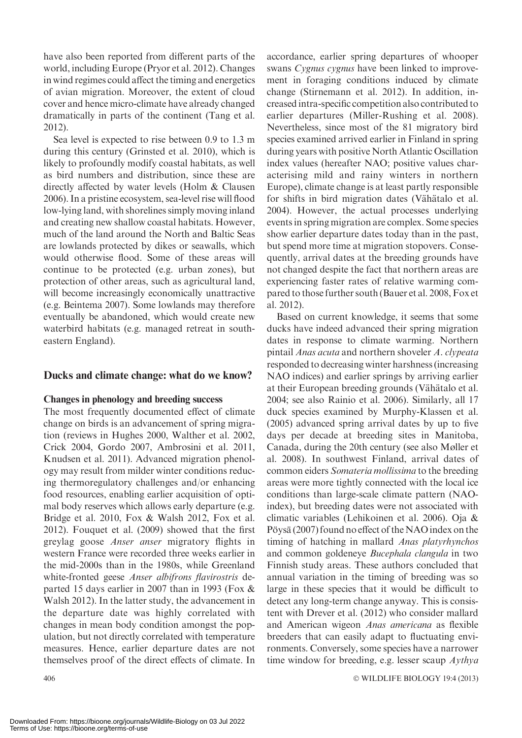have also been reported from different parts of the world, including Europe (Pryor et al. 2012). Changes in wind regimes could affect the timing and energetics of avian migration. Moreover, the extent of cloud cover and hence micro-climate have already changed dramatically in parts of the continent (Tang et al. 2012).

Sea level is expected to rise between 0.9 to 1.3 m during this century (Grinsted et al. 2010), which is likely to profoundly modify coastal habitats, as well as bird numbers and distribution, since these are directly affected by water levels (Holm & Clausen 2006). In a pristine ecosystem, sea-level rise will flood low-lying land, with shorelines simply moving inland and creating new shallow coastal habitats. However, much of the land around the North and Baltic Seas are lowlands protected by dikes or seawalls, which would otherwise flood. Some of these areas will continue to be protected (e.g. urban zones), but protection of other areas, such as agricultural land, will become increasingly economically unattractive (e.g. Beintema 2007). Some lowlands may therefore eventually be abandoned, which would create new waterbird habitats (e.g. managed retreat in southeastern England).

#### Ducks and climate change: what do we know?

#### Changes in phenology and breeding success

The most frequently documented effect of climate change on birds is an advancement of spring migration (reviews in Hughes 2000, Walther et al. 2002, Crick 2004, Gordo 2007, Ambrosini et al. 2011, Knudsen et al. 2011). Advanced migration phenology may result from milder winter conditions reducing thermoregulatory challenges and/or enhancing food resources, enabling earlier acquisition of optimal body reserves which allows early departure (e.g. Bridge et al. 2010, Fox & Walsh 2012, Fox et al. 2012). Fouquet et al. (2009) showed that the first greylag goose Anser anser migratory flights in western France were recorded three weeks earlier in the mid-2000s than in the 1980s, while Greenland white-fronted geese *Anser albifrons flavirostris* departed 15 days earlier in 2007 than in 1993 (Fox & Walsh 2012). In the latter study, the advancement in the departure date was highly correlated with changes in mean body condition amongst the population, but not directly correlated with temperature measures. Hence, earlier departure dates are not themselves proof of the direct effects of climate. In

accordance, earlier spring departures of whooper swans Cygnus cygnus have been linked to improvement in foraging conditions induced by climate change (Stirnemann et al. 2012). In addition, increased intra-specific competition also contributed to earlier departures (Miller-Rushing et al. 2008). Nevertheless, since most of the 81 migratory bird species examined arrived earlier in Finland in spring during years with positive North Atlantic Oscillation index values (hereafter NAO; positive values characterising mild and rainy winters in northern Europe), climate change is at least partly responsible for shifts in bird migration dates (Vähätalo et al. 2004). However, the actual processes underlying events in spring migration are complex. Some species show earlier departure dates today than in the past, but spend more time at migration stopovers. Consequently, arrival dates at the breeding grounds have not changed despite the fact that northern areas are experiencing faster rates of relative warming compared to those further south (Bauer et al. 2008, Fox et al. 2012).

Based on current knowledge, it seems that some ducks have indeed advanced their spring migration dates in response to climate warming. Northern pintail Anas acuta and northern shoveler A. clypeata responded to decreasing winter harshness (increasing NAO indices) and earlier springs by arriving earlier at their European breeding grounds (Vähätalo et al. 2004; see also Rainio et al. 2006). Similarly, all 17 duck species examined by Murphy-Klassen et al. (2005) advanced spring arrival dates by up to five days per decade at breeding sites in Manitoba, Canada, during the 20th century (see also Møller et al. 2008). In southwest Finland, arrival dates of common eiders Somateria mollissima to the breeding areas were more tightly connected with the local ice conditions than large-scale climate pattern (NAOindex), but breeding dates were not associated with climatic variables (Lehikoinen et al. 2006). Oja & Pöysä (2007) found no effect of the NAO index on the timing of hatching in mallard Anas platyrhynchos and common goldeneye Bucephala clangula in two Finnish study areas. These authors concluded that annual variation in the timing of breeding was so large in these species that it would be difficult to detect any long-term change anyway. This is consistent with Drever et al. (2012) who consider mallard and American wigeon Anas americana as flexible breeders that can easily adapt to fluctuating environments. Conversely, some species have a narrower time window for breeding, e.g. lesser scaup Aythya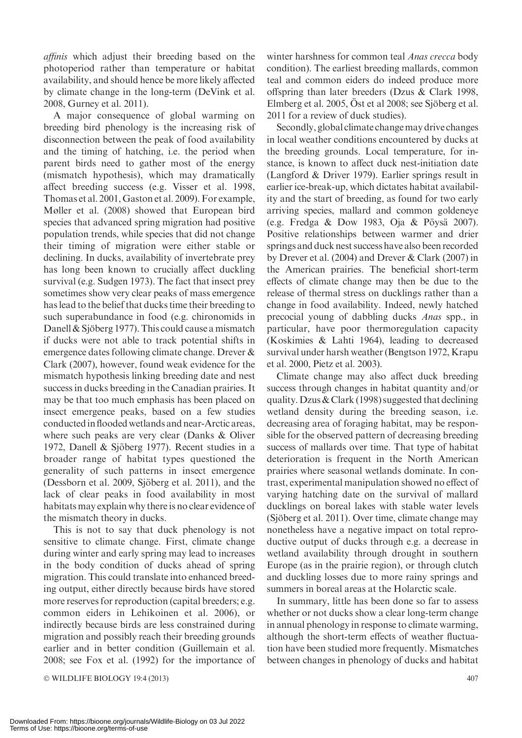affinis which adjust their breeding based on the photoperiod rather than temperature or habitat availability, and should hence be more likely affected by climate change in the long-term (DeVink et al. 2008, Gurney et al. 2011).

A major consequence of global warming on breeding bird phenology is the increasing risk of disconnection between the peak of food availability and the timing of hatching, i.e. the period when parent birds need to gather most of the energy (mismatch hypothesis), which may dramatically affect breeding success (e.g. Visser et al. 1998, Thomas et al. 2001, Gaston et al. 2009). For example, Møller et al. (2008) showed that European bird species that advanced spring migration had positive population trends, while species that did not change their timing of migration were either stable or declining. In ducks, availability of invertebrate prey has long been known to crucially affect duckling survival (e.g. Sudgen 1973). The fact that insect prey sometimes show very clear peaks of mass emergence has lead to the belief that ducks time their breeding to such superabundance in food (e.g. chironomids in Danell  $&$  Sjöberg 1977). This could cause a mismatch if ducks were not able to track potential shifts in emergence dates following climate change. Drever & Clark (2007), however, found weak evidence for the mismatch hypothesis linking breeding date and nest success in ducks breeding in the Canadian prairies. It may be that too much emphasis has been placed on insect emergence peaks, based on a few studies conductedin flooded wetlands and near-Arctic areas, where such peaks are very clear (Danks & Oliver 1972, Danell & Sjöberg 1977). Recent studies in a broader range of habitat types questioned the generality of such patterns in insect emergence (Dessborn et al. 2009, Sjöberg et al. 2011), and the lack of clear peaks in food availability in most habitats may explain why there is no clear evidence of the mismatch theory in ducks.

This is not to say that duck phenology is not sensitive to climate change. First, climate change during winter and early spring may lead to increases in the body condition of ducks ahead of spring migration. This could translate into enhanced breeding output, either directly because birds have stored more reserves for reproduction (capital breeders; e.g. common eiders in Lehikoinen et al. 2006), or indirectly because birds are less constrained during migration and possibly reach their breeding grounds earlier and in better condition (Guillemain et al. 2008; see Fox et al. (1992) for the importance of

© WILDLIFE BIOLOGY 19:4 (2013) 407

winter harshness for common teal *Anas crecca* body condition). The earliest breeding mallards, common teal and common eiders do indeed produce more offspring than later breeders (Dzus & Clark 1998, Elmberg et al.  $2005$ ,  $\ddot{\text{O}}$ st et al  $2008$ ; see Sjöberg et al. 2011 for a review of duck studies).

Secondly, global climate change may drive changes in local weather conditions encountered by ducks at the breeding grounds. Local temperature, for instance, is known to affect duck nest-initiation date (Langford & Driver 1979). Earlier springs result in earlier ice-break-up, which dictates habitat availability and the start of breeding, as found for two early arriving species, mallard and common goldeneye (e.g. Fredga & Dow 1983, Oja & Pöysä 2007). Positive relationships between warmer and drier springs and duck nest success have also been recorded by Drever et al. (2004) and Drever & Clark (2007) in the American prairies. The beneficial short-term effects of climate change may then be due to the release of thermal stress on ducklings rather than a change in food availability. Indeed, newly hatched precocial young of dabbling ducks Anas spp., in particular, have poor thermoregulation capacity (Koskimies & Lahti 1964), leading to decreased survival under harsh weather (Bengtson 1972, Krapu et al. 2000, Pietz et al. 2003).

Climate change may also affect duck breeding success through changes in habitat quantity and/or quality. Dzus & Clark (1998) suggested that declining wetland density during the breeding season, i.e. decreasing area of foraging habitat, may be responsible for the observed pattern of decreasing breeding success of mallards over time. That type of habitat deterioration is frequent in the North American prairies where seasonal wetlands dominate. In contrast, experimental manipulation showed no effect of varying hatching date on the survival of mallard ducklings on boreal lakes with stable water levels  $(Sjöberg et al. 2011)$ . Over time, climate change may nonetheless have a negative impact on total reproductive output of ducks through e.g. a decrease in wetland availability through drought in southern Europe (as in the prairie region), or through clutch and duckling losses due to more rainy springs and summers in boreal areas at the Holarctic scale.

In summary, little has been done so far to assess whether or not ducks show a clear long-term change in annual phenology in response to climate warming, although the short-term effects of weather fluctuation have been studied more frequently. Mismatches between changes in phenology of ducks and habitat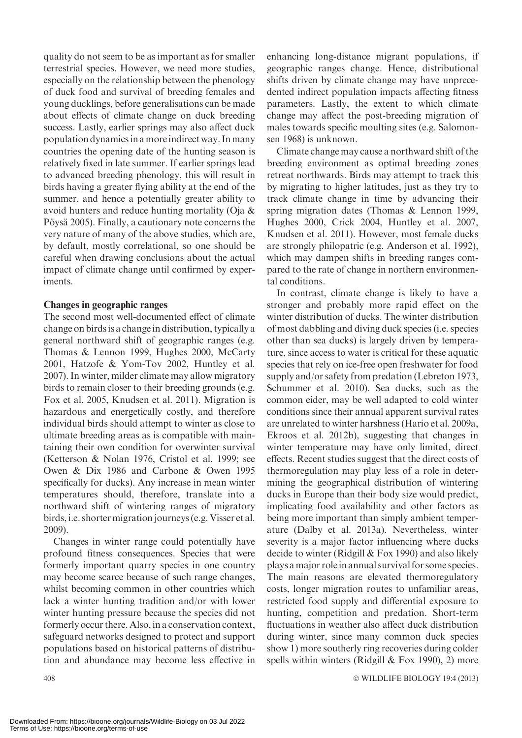quality do not seem to be as important as for smaller terrestrial species. However, we need more studies, especially on the relationship between the phenology of duck food and survival of breeding females and young ducklings, before generalisations can be made about effects of climate change on duck breeding success. Lastly, earlier springs may also affect duck population dynamics in a moreindirect way. Inmany countries the opening date of the hunting season is relatively fixed in late summer. If earlier springs lead to advanced breeding phenology, this will result in birds having a greater flying ability at the end of the summer, and hence a potentially greater ability to avoid hunters and reduce hunting mortality (Oja & Pöysä 2005). Finally, a cautionary note concerns the very nature of many of the above studies, which are, by default, mostly correlational, so one should be careful when drawing conclusions about the actual impact of climate change until confirmed by experiments.

#### Changes in geographic ranges

The second most well-documented effect of climate change on birds is a change in distribution, typically a general northward shift of geographic ranges (e.g. Thomas & Lennon 1999, Hughes 2000, McCarty 2001, Hatzofe & Yom-Tov 2002, Huntley et al. 2007). In winter, milder climate may allow migratory birds to remain closer to their breeding grounds (e.g. Fox et al. 2005, Knudsen et al. 2011). Migration is hazardous and energetically costly, and therefore individual birds should attempt to winter as close to ultimate breeding areas as is compatible with maintaining their own condition for overwinter survival (Ketterson & Nolan 1976, Cristol et al. 1999; see Owen & Dix 1986 and Carbone & Owen 1995 specifically for ducks). Any increase in mean winter temperatures should, therefore, translate into a northward shift of wintering ranges of migratory birds, i.e. shorter migration journeys (e.g. Visser et al. 2009).

Changes in winter range could potentially have profound fitness consequences. Species that were formerly important quarry species in one country may become scarce because of such range changes, whilst becoming common in other countries which lack a winter hunting tradition and/or with lower winter hunting pressure because the species did not formerly occur there. Also, in a conservation context, safeguard networks designed to protect and support populations based on historical patterns of distribution and abundance may become less effective in

enhancing long-distance migrant populations, if geographic ranges change. Hence, distributional shifts driven by climate change may have unprecedented indirect population impacts affecting fitness parameters. Lastly, the extent to which climate change may affect the post-breeding migration of males towards specific moulting sites (e.g. Salomonsen 1968) is unknown.

Climate change may cause a northward shift of the breeding environment as optimal breeding zones retreat northwards. Birds may attempt to track this by migrating to higher latitudes, just as they try to track climate change in time by advancing their spring migration dates (Thomas & Lennon 1999, Hughes 2000, Crick 2004, Huntley et al. 2007, Knudsen et al. 2011). However, most female ducks are strongly philopatric (e.g. Anderson et al. 1992), which may dampen shifts in breeding ranges compared to the rate of change in northern environmental conditions.

In contrast, climate change is likely to have a stronger and probably more rapid effect on the winter distribution of ducks. The winter distribution of most dabbling and diving duck species (i.e. species other than sea ducks) is largely driven by temperature, since access to water is critical for these aquatic species that rely on ice-free open freshwater for food supply and/or safety from predation (Lebreton 1973, Schummer et al. 2010). Sea ducks, such as the common eider, may be well adapted to cold winter conditions since their annual apparent survival rates are unrelated to winter harshness (Hario et al. 2009a, Ekroos et al. 2012b), suggesting that changes in winter temperature may have only limited, direct effects. Recent studies suggest that the direct costs of thermoregulation may play less of a role in determining the geographical distribution of wintering ducks in Europe than their body size would predict, implicating food availability and other factors as being more important than simply ambient temperature (Dalby et al. 2013a). Nevertheless, winter severity is a major factor influencing where ducks decide to winter (Ridgill & Fox 1990) and also likely plays a major role in annual survival for some species. The main reasons are elevated thermoregulatory costs, longer migration routes to unfamiliar areas, restricted food supply and differential exposure to hunting, competition and predation. Short-term fluctuations in weather also affect duck distribution during winter, since many common duck species show 1) more southerly ring recoveries during colder spells within winters (Ridgill  $& Fox 1990$ ), 2) more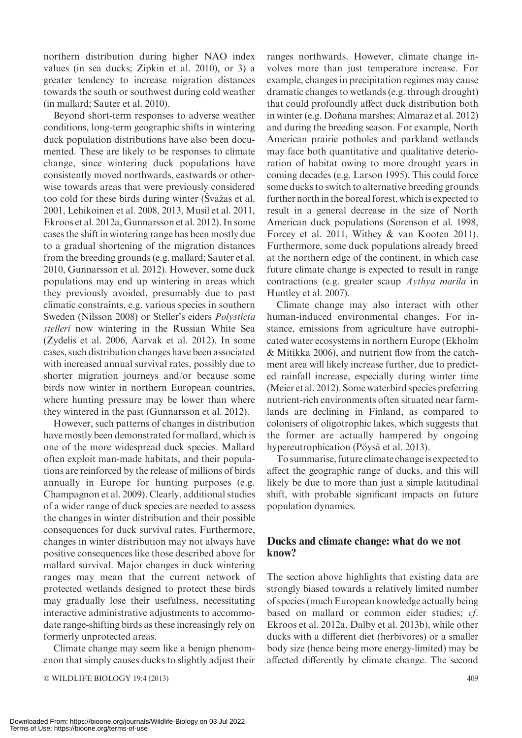northern distribution during higher NAO index values (in sea ducks; Zipkin et al. 2010), or 3) a greater tendency to increase migration distances towards the south or southwest during cold weather (in mallard; Sauter et al. 2010).

Beyond short-term responses to adverse weather conditions, long-term geographic shifts in wintering duck population distributions have also been documented. These are likely to be responses to climate change, since wintering duck populations have consistently moved northwards, eastwards or otherwise towards areas that were previously considered too cold for these birds during winter (Svažas et al. 2001, Lehikoinen et al. 2008, 2013, Musil et al. 2011, Ekroos et al. 2012a, Gunnarsson et al. 2012). In some cases the shift in wintering range has been mostly due to a gradual shortening of the migration distances from the breeding grounds (e.g. mallard; Sauter et al. 2010, Gunnarsson et al. 2012). However, some duck populations may end up wintering in areas which they previously avoided, presumably due to past climatic constraints, e.g. various species in southern Sweden (Nilsson 2008) or Steller's eiders Polysticta stelleri now wintering in the Russian White Sea (Zydelis et al. 2006, Aarvak et al. 2012). In some cases, such distribution changes have been associated with increased annual survival rates, possibly due to shorter migration journeys and/or because some birds now winter in northern European countries, where hunting pressure may be lower than where they wintered in the past (Gunnarsson et al. 2012).

However, such patterns of changes in distribution have mostly been demonstrated for mallard, which is one of the more widespread duck species. Mallard often exploit man-made habitats, and their populations are reinforced by the release of millions of birds annually in Europe for hunting purposes (e.g. Champagnon et al. 2009). Clearly, additional studies of a wider range of duck species are needed to assess the changes in winter distribution and their possible consequences for duck survival rates. Furthermore, changes in winter distribution may not always have positive consequences like those described above for mallard survival. Major changes in duck wintering ranges may mean that the current network of protected wetlands designed to protect these birds may gradually lose their usefulness, necessitating interactive administrative adjustments to accommodate range-shifting birds as these increasingly rely on formerly unprotected areas.

Climate change may seem like a benign phenomenon that simply causes ducks to slightly adjust their

© WILDLIFE BIOLOGY 19:4 (2013) 409

ranges northwards. However, climate change involves more than just temperature increase. For example, changes in precipitation regimes may cause dramatic changes to wetlands (e.g. through drought) that could profoundly affect duck distribution both in winter (e.g. Doñana marshes; Almaraz et al. 2012) and during the breeding season. For example, North American prairie potholes and parkland wetlands may face both quantitative and qualitative deterioration of habitat owing to more drought years in coming decades (e.g. Larson 1995). This could force some ducks to switch to alternative breeding grounds further north in the boreal forest, which is expected to result in a general decrease in the size of North American duck populations (Sorenson et al. 1998, Forcey et al. 2011, Withey & van Kooten 2011). Furthermore, some duck populations already breed at the northern edge of the continent, in which case future climate change is expected to result in range contractions (e.g. greater scaup Aythya marila in Huntley et al. 2007).

Climate change may also interact with other human-induced environmental changes. For instance, emissions from agriculture have eutrophicated water ecosystems in northern Europe (Ekholm & Mitikka 2006), and nutrient flow from the catchment area will likely increase further, due to predicted rainfall increase, especially during winter time (Meier et al. 2012). Some waterbird species preferring nutrient-rich environments often situated near farmlands are declining in Finland, as compared to colonisers of oligotrophic lakes, which suggests that the former are actually hampered by ongoing hypereutrophication (Pöysä et al. 2013).

To summarise, future climate changeis expected to affect the geographic range of ducks, and this will likely be due to more than just a simple latitudinal shift, with probable significant impacts on future population dynamics.

#### Ducks and climate change: what do we not know?

The section above highlights that existing data are strongly biased towards a relatively limited number of species (much European knowledge actually being based on mallard or common eider studies; cf. Ekroos et al. 2012a, Dalby et al. 2013b), while other ducks with a different diet (herbivores) or a smaller body size (hence being more energy-limited) may be affected differently by climate change. The second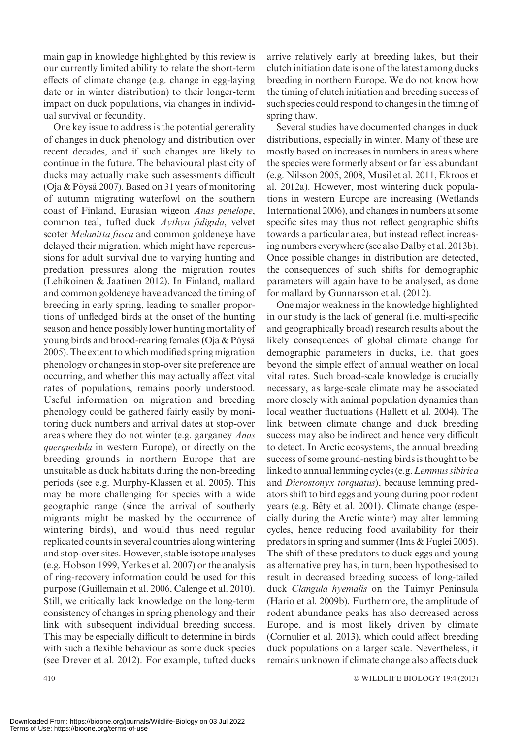main gap in knowledge highlighted by this review is our currently limited ability to relate the short-term effects of climate change (e.g. change in egg-laying date or in winter distribution) to their longer-term impact on duck populations, via changes in individual survival or fecundity.

One key issue to address is the potential generality of changes in duck phenology and distribution over recent decades, and if such changes are likely to continue in the future. The behavioural plasticity of ducks may actually make such assessments difficult (Oja & Pöysä 2007). Based on 31 years of monitoring of autumn migrating waterfowl on the southern coast of Finland, Eurasian wigeon Anas penelope, common teal, tufted duck Aythya fuligula, velvet scoter Melanitta fusca and common goldeneye have delayed their migration, which might have repercussions for adult survival due to varying hunting and predation pressures along the migration routes (Lehikoinen & Jaatinen 2012). In Finland, mallard and common goldeneye have advanced the timing of breeding in early spring, leading to smaller proportions of unfledged birds at the onset of the hunting season and hence possibly lower hunting mortality of young birds and brood-rearing females (Oja  $&$  Pöysä 2005). The extent to which modified spring migration phenology or changes in stop-over site preference are occurring, and whether this may actually affect vital rates of populations, remains poorly understood. Useful information on migration and breeding phenology could be gathered fairly easily by monitoring duck numbers and arrival dates at stop-over areas where they do not winter (e.g. garganey Anas querquedula in western Europe), or directly on the breeding grounds in northern Europe that are unsuitable as duck habitats during the non-breeding periods (see e.g. Murphy-Klassen et al. 2005). This may be more challenging for species with a wide geographic range (since the arrival of southerly migrants might be masked by the occurrence of wintering birds), and would thus need regular replicated counts in several countries along wintering and stop-over sites. However, stable isotope analyses (e.g. Hobson 1999, Yerkes et al. 2007) or the analysis of ring-recovery information could be used for this purpose (Guillemain et al. 2006, Calenge et al. 2010). Still, we critically lack knowledge on the long-term consistency of changes in spring phenology and their link with subsequent individual breeding success. This may be especially difficult to determine in birds with such a flexible behaviour as some duck species (see Drever et al. 2012). For example, tufted ducks

arrive relatively early at breeding lakes, but their clutch initiation date is one of the latest among ducks breeding in northern Europe. We do not know how the timing of clutch initiation and breeding success of such species could respond to changes in the timing of spring thaw.

Several studies have documented changes in duck distributions, especially in winter. Many of these are mostly based on increases in numbers in areas where the species were formerly absent or far less abundant (e.g. Nilsson 2005, 2008, Musil et al. 2011, Ekroos et al. 2012a). However, most wintering duck populations in western Europe are increasing (Wetlands International 2006), and changes in numbers at some specific sites may thus not reflect geographic shifts towards a particular area, but instead reflect increasing numbers everywhere (see also Dalby et al. 2013b). Once possible changes in distribution are detected, the consequences of such shifts for demographic parameters will again have to be analysed, as done for mallard by Gunnarsson et al. (2012).

One major weakness in the knowledge highlighted in our study is the lack of general (i.e. multi-specific and geographically broad) research results about the likely consequences of global climate change for demographic parameters in ducks, i.e. that goes beyond the simple effect of annual weather on local vital rates. Such broad-scale knowledge is crucially necessary, as large-scale climate may be associated more closely with animal population dynamics than local weather fluctuations (Hallett et al. 2004). The link between climate change and duck breeding success may also be indirect and hence very difficult to detect. In Arctic ecosystems, the annual breeding success of some ground-nesting birds is thought to be linked to annual lemming cycles (e.g.Lemmus sibirica and Dicrostonyx torquatus), because lemming predators shift to bird eggs and young during poor rodent years (e.g. Bêty et al. 2001). Climate change (especially during the Arctic winter) may alter lemming cycles, hence reducing food availability for their predators in spring and summer (Ims & Fuglei 2005). The shift of these predators to duck eggs and young as alternative prey has, in turn, been hypothesised to result in decreased breeding success of long-tailed duck Clangula hyemalis on the Taimyr Peninsula (Hario et al. 2009b). Furthermore, the amplitude of rodent abundance peaks has also decreased across Europe, and is most likely driven by climate (Cornulier et al. 2013), which could affect breeding duck populations on a larger scale. Nevertheless, it remains unknown if climate change also affects duck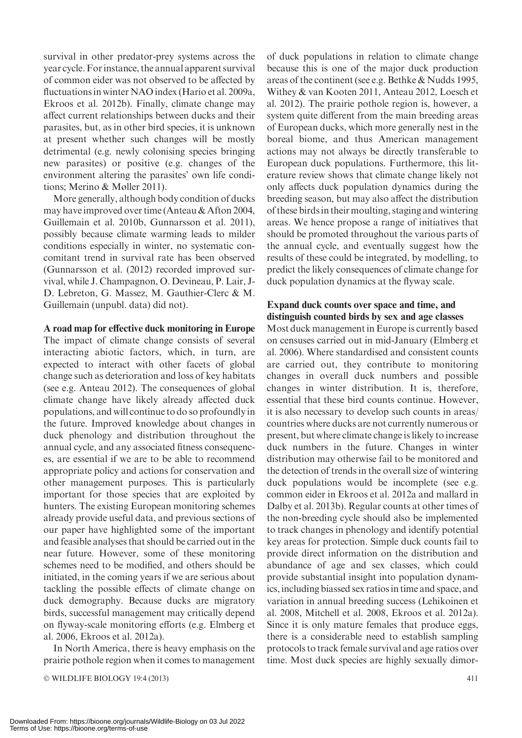survival in other predator-prey systems across the year cycle. For instance, the annual apparent survival of common eider was not observed to be affected by fluctuations in winter NAO index (Hario et al. 2009a, Ekroos et al. 2012b). Finally, climate change may affect current relationships between ducks and their parasites, but, as in other bird species, it is unknown at present whether such changes will be mostly detrimental (e.g. newly colonising species bringing new parasites) or positive (e.g. changes of the environment altering the parasites' own life conditions; Merino & Møller 2011).

More generally, although body condition of ducks may have improved over time (Anteau & Afton 2004, Guillemain et al. 2010b, Gunnarsson et al. 2011), possibly because climate warming leads to milder conditions especially in winter, no systematic concomitant trend in survival rate has been observed (Gunnarsson et al. (2012) recorded improved survival, while J. Champagnon, O. Devineau, P. Lair, J-D. Lebreton, G. Massez, M. Gauthier-Clerc & M. Guillemain (unpubl. data) did not).

#### A road map for effective duck monitoring in Europe

The impact of climate change consists of several interacting abiotic factors, which, in turn, are expected to interact with other facets of global change such as deterioration and loss of key habitats (see e.g. Anteau 2012). The consequences of global climate change have likely already affected duck populations, and will continue to do so profoundly in the future. Improved knowledge about changes in duck phenology and distribution throughout the annual cycle, and any associated fitness consequences, are essential if we are to be able to recommend appropriate policy and actions for conservation and other management purposes. This is particularly important for those species that are exploited by hunters. The existing European monitoring schemes already provide useful data, and previous sections of our paper have highlighted some of the important and feasible analyses that should be carried out in the near future. However, some of these monitoring schemes need to be modified, and others should be initiated, in the coming years if we are serious about tackling the possible effects of climate change on duck demography. Because ducks are migratory birds, successful management may critically depend on flyway-scale monitoring efforts (e.g. Elmberg et al. 2006, Ekroos et al. 2012a).

In North America, there is heavy emphasis on the prairie pothole region when it comes to management

© WILDLIFE BIOLOGY 19:4 (2013) 411

of duck populations in relation to climate change because this is one of the major duck production areas of the continent (see e.g. Bethke & Nudds 1995, Withey & van Kooten 2011, Anteau 2012, Loesch et al. 2012). The prairie pothole region is, however, a system quite different from the main breeding areas of European ducks, which more generally nest in the boreal biome, and thus American management actions may not always be directly transferable to European duck populations. Furthermore, this literature review shows that climate change likely not only affects duck population dynamics during the breeding season, but may also affect the distribution of these birds in their moulting, staging and wintering areas. We hence propose a range of initiatives that should be promoted throughout the various parts of the annual cycle, and eventually suggest how the results of these could be integrated, by modelling, to predict the likely consequences of climate change for duck population dynamics at the flyway scale.

#### Expand duck counts over space and time, and distinguish counted birds by sex and age classes

Most duck management in Europe is currently based on censuses carried out in mid-January (Elmberg et al. 2006). Where standardised and consistent counts are carried out, they contribute to monitoring changes in overall duck numbers and possible changes in winter distribution. It is, therefore, essential that these bird counts continue. However, it is also necessary to develop such counts in areas/ countries where ducks are not currently numerous or present, but where climate change is likely to increase duck numbers in the future. Changes in winter distribution may otherwise fail to be monitored and the detection of trends in the overall size of wintering duck populations would be incomplete (see e.g. common eider in Ekroos et al. 2012a and mallard in Dalby et al. 2013b). Regular counts at other times of the non-breeding cycle should also be implemented to track changes in phenology and identify potential key areas for protection. Simple duck counts fail to provide direct information on the distribution and abundance of age and sex classes, which could provide substantial insight into population dynamics, including biassed sex ratios in time and space, and variation in annual breeding success (Lehikoinen et al. 2008, Mitchell et al. 2008, Ekroos et al. 2012a). Since it is only mature females that produce eggs, there is a considerable need to establish sampling protocols to track female survival and age ratios over time. Most duck species are highly sexually dimor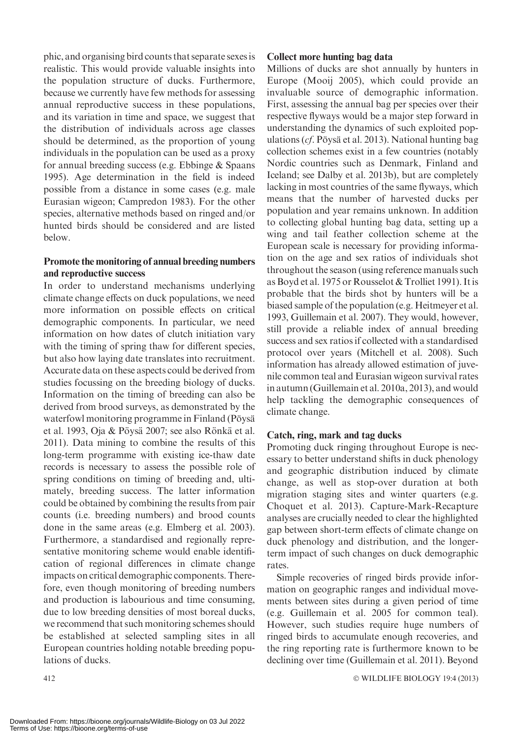phic, and organising bird counts that separate sexes is realistic. This would provide valuable insights into the population structure of ducks. Furthermore, because we currently have few methods for assessing annual reproductive success in these populations, and its variation in time and space, we suggest that the distribution of individuals across age classes should be determined, as the proportion of young individuals in the population can be used as a proxy for annual breeding success (e.g. Ebbinge & Spaans 1995). Age determination in the field is indeed possible from a distance in some cases (e.g. male Eurasian wigeon; Campredon 1983). For the other species, alternative methods based on ringed and/or hunted birds should be considered and are listed below. Promote the monitoring of annual breeding numbers

# and reproductive success

In order to understand mechanisms underlying climate change effects on duck populations, we need more information on possible effects on critical demographic components. In particular, we need information on how dates of clutch initiation vary with the timing of spring thaw for different species, but also how laying date translates into recruitment. Accurate data on these aspects could be derived from studies focussing on the breeding biology of ducks. Information on the timing of breeding can also be derived from brood surveys, as demonstrated by the waterfowl monitoring programme in Finland (Pöysä et al. 1993, Oja & Pöysä 2007; see also Rönkä et al. 2011). Data mining to combine the results of this long-term programme with existing ice-thaw date records is necessary to assess the possible role of spring conditions on timing of breeding and, ultimately, breeding success. The latter information could be obtained by combining the results from pair counts (i.e. breeding numbers) and brood counts done in the same areas (e.g. Elmberg et al. 2003). Furthermore, a standardised and regionally representative monitoring scheme would enable identification of regional differences in climate change impacts on critical demographic components. Therefore, even though monitoring of breeding numbers and production is labourious and time consuming, due to low breeding densities of most boreal ducks, we recommend that such monitoring schemes should be established at selected sampling sites in all European countries holding notable breeding populations of ducks.

#### Collect more hunting bag data

Millions of ducks are shot annually by hunters in Europe (Mooij 2005), which could provide an invaluable source of demographic information. First, assessing the annual bag per species over their respective flyways would be a major step forward in understanding the dynamics of such exploited populations ( $cf.$  Pöysä et al. 2013). National hunting bag collection schemes exist in a few countries (notably Nordic countries such as Denmark, Finland and Iceland; see Dalby et al. 2013b), but are completely lacking in most countries of the same flyways, which means that the number of harvested ducks per population and year remains unknown. In addition to collecting global hunting bag data, setting up a wing and tail feather collection scheme at the European scale is necessary for providing information on the age and sex ratios of individuals shot throughout the season (using reference manuals such as Boyd et al. 1975 or Rousselot & Trolliet 1991). It is probable that the birds shot by hunters will be a biased sample of the population (e.g. Heitmeyer et al. 1993, Guillemain et al. 2007). They would, however, still provide a reliable index of annual breeding success and sex ratios if collected with a standardised protocol over years (Mitchell et al. 2008). Such information has already allowed estimation of juvenile common teal and Eurasian wigeon survival rates in autumn (Guillemain et al. 2010a, 2013), and would help tackling the demographic consequences of climate change.

#### Catch, ring, mark and tag ducks

Promoting duck ringing throughout Europe is necessary to better understand shifts in duck phenology and geographic distribution induced by climate change, as well as stop-over duration at both migration staging sites and winter quarters (e.g. Choquet et al. 2013). Capture-Mark-Recapture analyses are crucially needed to clear the highlighted gap between short-term effects of climate change on duck phenology and distribution, and the longerterm impact of such changes on duck demographic rates.

Simple recoveries of ringed birds provide information on geographic ranges and individual movements between sites during a given period of time (e.g. Guillemain et al. 2005 for common teal). However, such studies require huge numbers of ringed birds to accumulate enough recoveries, and the ring reporting rate is furthermore known to be declining over time (Guillemain et al. 2011). Beyond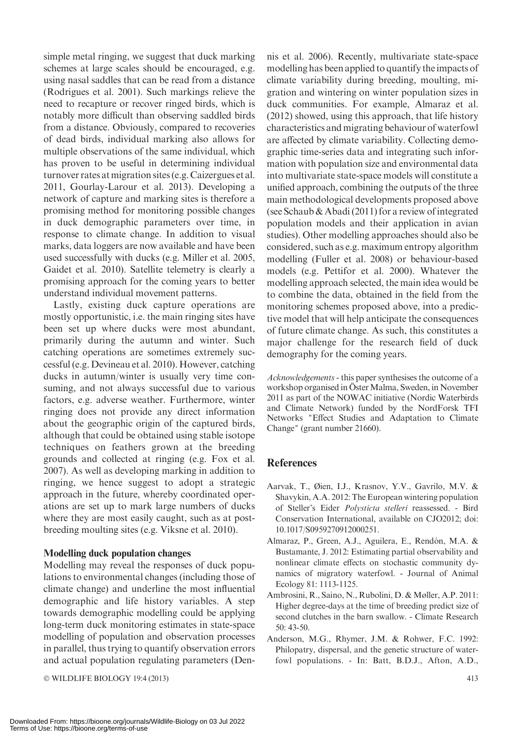simple metal ringing, we suggest that duck marking schemes at large scales should be encouraged, e.g. using nasal saddles that can be read from a distance (Rodrigues et al. 2001). Such markings relieve the need to recapture or recover ringed birds, which is notably more difficult than observing saddled birds from a distance. Obviously, compared to recoveries of dead birds, individual marking also allows for multiple observations of the same individual, which has proven to be useful in determining individual turnover rates atmigration sites (e.g. Caizergues et al. 2011, Gourlay-Larour et al. 2013). Developing a network of capture and marking sites is therefore a promising method for monitoring possible changes in duck demographic parameters over time, in response to climate change. In addition to visual marks, data loggers are now available and have been used successfully with ducks (e.g. Miller et al. 2005, Gaidet et al. 2010). Satellite telemetry is clearly a promising approach for the coming years to better understand individual movement patterns.

Lastly, existing duck capture operations are mostly opportunistic, i.e. the main ringing sites have been set up where ducks were most abundant, primarily during the autumn and winter. Such catching operations are sometimes extremely successful (e.g. Devineau et al. 2010). However, catching ducks in autumn/winter is usually very time consuming, and not always successful due to various factors, e.g. adverse weather. Furthermore, winter ringing does not provide any direct information about the geographic origin of the captured birds, although that could be obtained using stable isotope techniques on feathers grown at the breeding grounds and collected at ringing (e.g. Fox et al. 2007). As well as developing marking in addition to ringing, we hence suggest to adopt a strategic approach in the future, whereby coordinated operations are set up to mark large numbers of ducks where they are most easily caught, such as at postbreeding moulting sites (e.g. Viksne et al. 2010).

#### Modelling duck population changes

Modelling may reveal the responses of duck populations to environmental changes (including those of climate change) and underline the most influential demographic and life history variables. A step towards demographic modelling could be applying long-term duck monitoring estimates in state-space modelling of population and observation processes in parallel, thus trying to quantify observation errors and actual population regulating parameters (Den-

© WILDLIFE BIOLOGY 19:4 (2013) 413

nis et al. 2006). Recently, multivariate state-space modelling has been applied to quantify the impacts of climate variability during breeding, moulting, migration and wintering on winter population sizes in duck communities. For example, Almaraz et al. (2012) showed, using this approach, that life history characteristics and migrating behaviour of waterfowl are affected by climate variability. Collecting demographic time-series data and integrating such information with population size and environmental data into multivariate state-space models will constitute a unified approach, combining the outputs of the three main methodological developments proposed above (see Schaub & Abadi (2011) for a review of integrated population models and their application in avian studies). Other modelling approaches should also be considered, such as e.g. maximum entropy algorithm modelling (Fuller et al. 2008) or behaviour-based models (e.g. Pettifor et al. 2000). Whatever the modelling approach selected, the main idea would be to combine the data, obtained in the field from the monitoring schemes proposed above, into a predictive model that will help anticipate the consequences of future climate change. As such, this constitutes a major challenge for the research field of duck demography for the coming years.

Acknowledgements - this paper synthesises the outcome of a workshop organised in Öster Malma, Sweden, in November 2011 as part of the NOWAC initiative (Nordic Waterbirds and Climate Network) funded by the NordForsk TFI Networks "Effect Studies and Adaptation to Climate Change" (grant number 21660).

#### References

- Aarvak, T., Øien, I.J., Krasnov, Y.V., Gavrilo, M.V. & Shavykin, A.A. 2012: The European wintering population of Steller's Eider Polysticta stelleri reassessed. - Bird Conservation International, available on CJO2012; doi: 10.1017/S0959270912000251.
- Almaraz, P., Green, A.J., Aguilera, E., Rendón, M.A. & Bustamante, J. 2012: Estimating partial observability and nonlinear climate effects on stochastic community dynamics of migratory waterfowl. - Journal of Animal Ecology 81: 1113-1125.
- Ambrosini, R., Saino, N., Rubolini, D. & Møller, A.P. 2011: Higher degree-days at the time of breeding predict size of second clutches in the barn swallow. - Climate Research 50: 43-50.
- Anderson, M.G., Rhymer, J.M. & Rohwer, F.C. 1992: Philopatry, dispersal, and the genetic structure of waterfowl populations. - In: Batt, B.D.J., Afton, A.D.,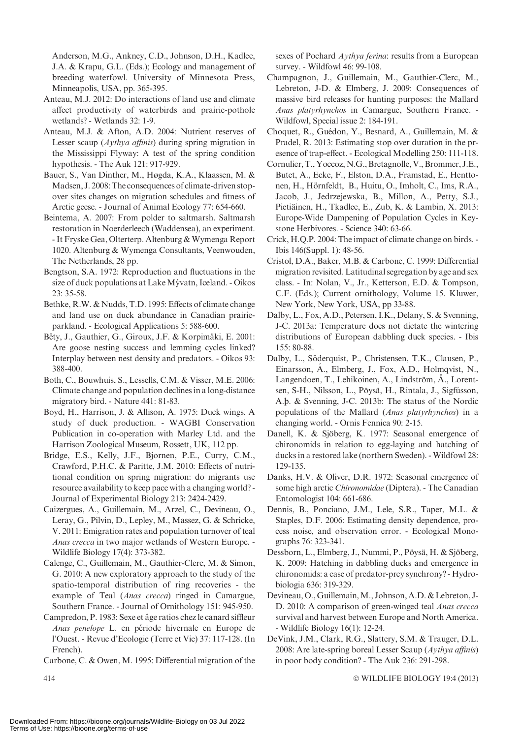Anderson, M.G., Ankney, C.D., Johnson, D.H., Kadlec, J.A. & Krapu, G.L. (Eds.); Ecology and management of breeding waterfowl. University of Minnesota Press, Minneapolis, USA, pp. 365-395.

- Anteau, M.J. 2012: Do interactions of land use and climate affect productivity of waterbirds and prairie-pothole wetlands? - Wetlands 32: 1-9.
- Anteau, M.J. & Afton, A.D. 2004: Nutrient reserves of Lesser scaup (*Aythya affinis*) during spring migration in the Mississippi Flyway: A test of the spring condition hypothesis. - The Auk 121: 917-929.
- Bauer, S., Van Dinther, M., Høgda, K.A., Klaassen, M. & Madsen, J. 2008: The consequences of climate-driven stopover sites changes on migration schedules and fitness of Arctic geese. - Journal of Animal Ecology 77: 654-660.
- Beintema, A. 2007: From polder to saltmarsh. Saltmarsh restoration in Noerderleech (Waddensea), an experiment. - It Fryske Gea, Olterterp. Altenburg & Wymenga Report 1020. Altenburg & Wymenga Consultants, Veenwouden, The Netherlands, 28 pp.
- Bengtson, S.A. 1972: Reproduction and fluctuations in the size of duck populations at Lake Mývatn, Iceland. - Oikos 23: 35-58.
- Bethke, R.W. & Nudds, T.D. 1995: Effects of climate change and land use on duck abundance in Canadian prairieparkland. - Ecological Applications 5: 588-600.
- Bêty, J., Gauthier, G., Giroux, J.F. & Korpimäki, E. 2001: Are goose nesting success and lemming cycles linked? Interplay between nest density and predators. - Oikos 93: 388-400.
- Both, C., Bouwhuis, S., Lessells, C.M. & Visser, M.E. 2006: Climate change and population declines in a long-distance migratory bird. - Nature 441: 81-83.
- Boyd, H., Harrison, J. & Allison, A. 1975: Duck wings. A study of duck production. - WAGBI Conservation Publication in co-operation with Marley Ltd. and the Harrison Zoological Museum, Rossett, UK, 112 pp.
- Bridge, E.S., Kelly, J.F., Bjornen, P.E., Curry, C.M., Crawford, P.H.C. & Paritte, J.M. 2010: Effects of nutritional condition on spring migration: do migrants use resource availability to keep pace with a changing world? - Journal of Experimental Biology 213: 2424-2429.
- Caizergues, A., Guillemain, M., Arzel, C., Devineau, O., Leray, G., Pilvin, D., Lepley, M., Massez, G. & Schricke, V. 2011: Emigration rates and population turnover of teal Anas crecca in two major wetlands of Western Europe. - Wildlife Biology 17(4): 373-382.
- Calenge, C., Guillemain, M., Gauthier-Clerc, M. & Simon, G. 2010: A new exploratory approach to the study of the spatio-temporal distribution of ring recoveries - the example of Teal (Anas crecca) ringed in Camargue, Southern France. - Journal of Ornithology 151: 945-950.
- Campredon, P. 1983: Sexe et âge ratios chez le canard siffleur Anas penelope L. en période hivernale en Europe de l'Ouest. - Revue d'Ecologie (Terre et Vie) 37: 117-128. (In French).
- Carbone, C. & Owen, M. 1995: Differential migration of the

sexes of Pochard Aythya ferina: results from a European survey. - Wildfowl 46: 99-108.

- Champagnon, J., Guillemain, M., Gauthier-Clerc, M., Lebreton, J-D. & Elmberg, J. 2009: Consequences of massive bird releases for hunting purposes: the Mallard Anas platyrhynchos in Camargue, Southern France. - Wildfowl, Special issue 2: 184-191.
- Choquet, R., Guédon, Y., Besnard, A., Guillemain, M. & Pradel, R. 2013: Estimating stop over duration in the presence of trap-effect. - Ecological Modelling 250: 111-118.
- Cornulier, T., Yoccoz, N.G.,Bretagnolle, V., Brommer, J.E., Butet, A., Ecke, F., Elston, D.A., Framstad, E., Henttonen, H., Hörnfeldt, B., Huitu, O., Imholt, C., Ims, R.A., Jacob, J., Jedrzejewska, B., Millon, A., Petty, S.J., Pietiäinen, H., Tkadlec, E., Zub, K. & Lambin, X. 2013: Europe-Wide Dampening of Population Cycles in Keystone Herbivores. - Science 340: 63-66.
- Crick, H.Q.P. 2004: The impact of climate change on birds. Ibis 146(Suppl. 1): 48-56.
- Cristol, D.A., Baker, M.B. & Carbone, C. 1999: Differential migration revisited. Latitudinal segregation by age and sex class. - In: Nolan, V., Jr., Ketterson, E.D. & Tompson, C.F. (Eds.); Current ornithology, Volume 15. Kluwer, New York, New York, USA, pp 33-88.
- Dalby, L., Fox, A.D., Petersen, I.K., Delany, S. & Svenning, J-C. 2013a: Temperature does not dictate the wintering distributions of European dabbling duck species. - Ibis 155: 80-88.
- Dalby, L., Söderquist, P., Christensen, T.K., Clausen, P., Einarsson, A., Elmberg, J., Fox, A.D., Holmqvist, N., Langendoen, T., Lehikoinen, A., Lindström, Å., Lorentsen, S-H., Nilsson, L., Pöysä, H., Rintala, J., Sigfússon, A.p. & Svenning, J-C. 2013b: The status of the Nordic populations of the Mallard (Anas platyrhynchos) in a changing world. - Ornis Fennica 90: 2-15.
- Danell, K. & Sjöberg, K. 1977: Seasonal emergence of chironomids in relation to egg-laying and hatching of ducks in a restored lake (northern Sweden). - Wildfowl 28: 129-135.
- Danks, H.V. & Oliver, D.R. 1972: Seasonal emergence of some high arctic Chironomidae (Diptera). - The Canadian Entomologist 104: 661-686.
- Dennis, B., Ponciano, J.M., Lele, S.R., Taper, M.L. & Staples, D.F. 2006: Estimating density dependence, process noise, and observation error. - Ecological Monographs 76: 323-341.
- Dessborn, L., Elmberg, J., Nummi, P., Pöysä, H. & Sjöberg, K. 2009: Hatching in dabbling ducks and emergence in chironomids: a case of predator-prey synchrony? - Hydrobiologia 636: 319-329.
- Devineau, O., Guillemain,M., Johnson, A.D. & Lebreton, J-D. 2010: A comparison of green-winged teal Anas crecca survival and harvest between Europe and North America. - Wildlife Biology 16(1): 12-24.
- DeVink, J.M., Clark, R.G., Slattery, S.M. & Trauger, D.L. 2008: Are late-spring boreal Lesser Scaup  $(Aythya\text{ affinis})$ in poor body condition? - The Auk 236: 291-298.

WILDLIFE BIOLOGY 19:4 (2013)

 $414$   $\circ$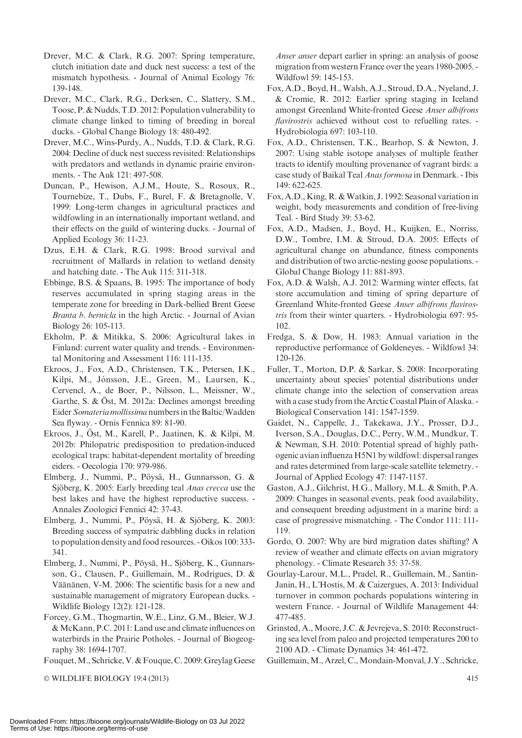- Drever, M.C. & Clark, R.G. 2007: Spring temperature, clutch initiation date and duck nest success: a test of the mismatch hypothesis. - Journal of Animal Ecology 76: 139-148.
- Drever, M.C., Clark, R.G., Derksen, C., Slattery, S.M., Toose, P. & Nudds, T.D. 2012: Population vulnerability to climate change linked to timing of breeding in boreal ducks. - Global Change Biology 18: 480-492.
- Drever, M.C., Wins-Purdy, A., Nudds, T.D. & Clark, R.G. 2004: Decline of duck nest success revisited: Relationships with predators and wetlands in dynamic prairie environments. - The Auk 121: 497-508.
- Duncan, P., Hewison, A.J.M., Houte, S., Rosoux, R., Tournebize, T., Dubs, F., Burel, F. & Bretagnolle, V. 1999: Long-term changes in agricultural practices and wildfowling in an internationally important wetland, and their effects on the guild of wintering ducks. - Journal of Applied Ecology 36: 11-23.
- Dzus, E.H. & Clark, R.G. 1998: Brood survival and recruitment of Mallards in relation to wetland density and hatching date. - The Auk 115: 311-318.
- Ebbinge, B.S. & Spaans, B. 1995: The importance of body reserves accumulated in spring staging areas in the temperate zone for breeding in Dark-bellied Brent Geese Branta b. bernicla in the high Arctic. - Journal of Avian Biology 26: 105-113.
- Ekholm, P. & Mitikka, S. 2006: Agricultural lakes in Finland: current water quality and trends. - Environmental Monitoring and Assessment 116: 111-135.
- Ekroos, J., Fox, A.D., Christensen, T.K., Petersen, I.K., Kilpi, M., Jónsson, J.E., Green, M., Laursen, K., Cervencl, A., de Boer, P., Nilsson, L., Meissner, W., Garthe, S. & Öst, M. 2012a: Declines amongst breeding Eider Somateria mollissima numbers in the Baltic/Wadden Sea flyway. - Ornis Fennica 89: 81-90.
- Ekroos, J., Öst, M., Karell, P., Jaatinen, K. & Kilpi, M. 2012b: Philopatric predisposition to predation-induced ecological traps: habitat-dependent mortality of breeding eiders. - Oecologia 170: 979-986.
- Elmberg, J., Nummi, P., Pöysä, H., Gunnarsson, G. & Sjöberg, K. 2005: Early breeding teal Anas crecca use the best lakes and have the highest reproductive success. - Annales Zoologici Fennici 42: 37-43.
- Elmberg, J., Nummi, P., Pöysä, H. & Sjöberg, K. 2003: Breeding success of sympatric dabbling ducks in relation to population density and food resources. - Oikos 100: 333- 341.
- Elmberg, J., Nummi, P., Pöysä, H., Sjöberg, K., Gunnarsson, G., Clausen, P., Guillemain, M., Rodrigues, D. & Väänänen, V-M. 2006: The scientific basis for a new and sustainable management of migratory European ducks. - Wildlife Biology 12(2): 121-128.
- Forcey, G.M., Thogmartin, W.E., Linz, G.M., Bleier, W.J. &McKann, P.C. 2011: Land use and climate influences on waterbirds in the Prairie Potholes. - Journal of Biogeography 38: 1694-1707.

Fouquet,M., Schricke, V. & Fouque, C. 2009: Greylag Geese

© WILDLIFE BIOLOGY 19:4 (2013) 415

Anser anser depart earlier in spring: an analysis of goose migration from western France over the years 1980-2005. - Wildfowl 59: 145-153.

- Fox, A.D., Boyd, H., Walsh, A.J., Stroud, D.A., Nyeland, J. & Cromie, R. 2012: Earlier spring staging in Iceland amongst Greenland White-fronted Geese Anser albifrons flavirostris achieved without cost to refuelling rates. -Hydrobiologia 697: 103-110.
- Fox, A.D., Christensen, T.K., Bearhop, S. & Newton, J. 2007: Using stable isotope analyses of multiple feather tracts to identify moulting provenance of vagrant birds: a case study of Baikal Teal Anas formosa in Denmark. - Ibis 149: 622-625.
- Fox, A.D., King, R. & Watkin, J. 1992: Seasonal variation in weight, body measurements and condition of free-living Teal. - Bird Study 39: 53-62.
- Fox, A.D., Madsen, J., Boyd, H., Kuijken, E., Norriss, D.W., Tombre, I.M. & Stroud, D.A. 2005: Effects of agricultural change on abundance, fitness components and distribution of two arctic-nesting goose populations. - Global Change Biology 11: 881-893.
- Fox, A.D. & Walsh, A.J. 2012: Warming winter effects, fat store accumulation and timing of spring departure of Greenland White-fronted Geese Anser albifrons flavirostris from their winter quarters. - Hydrobiologia 697: 95- 102.
- Fredga, S. & Dow, H. 1983: Annual variation in the reproductive performance of Goldeneyes. - Wildfowl 34: 120-126.
- Fuller, T., Morton, D.P. & Sarkar, S. 2008: Incorporating uncertainty about species' potential distributions under climate change into the selection of conservation areas with a case study from the Arctic Coastal Plain of Alaska. - Biological Conservation 141: 1547-1559.
- Gaidet, N., Cappelle, J., Takekawa, J.Y., Prosser, D.J., Iverson, S.A., Douglas, D.C., Perry, W.M., Mundkur, T. & Newman, S.H. 2010: Potential spread of highly pathogenic avian influenza H5N1 by wildfowl: dispersal ranges and rates determined from large-scale satellite telemetry. - Journal of Applied Ecology 47: 1147-1157.
- Gaston, A.J., Gilchrist, H.G., Mallory, M.L. & Smith, P.A. 2009: Changes in seasonal events, peak food availability, and consequent breeding adjustment in a marine bird: a case of progressive mismatching. - The Condor 111: 111- 119.
- Gordo, O. 2007: Why are bird migration dates shifting? A review of weather and climate effects on avian migratory phenology. - Climate Research 35: 37-58.
- Gourlay-Larour, M.L., Pradel, R., Guillemain, M., Santin-Janin, H., L'Hostis, M. & Caizergues, A. 2013: Individual turnover in common pochards populations wintering in western France. - Journal of Wildlife Management 44: 477-485.
- Grinsted, A., Moore, J.C. & Jevrejeva, S. 2010: Reconstructing sea level from paleo and projected temperatures 200 to 2100 AD. - Climate Dynamics 34: 461-472.
- Guillemain,M., Arzel, C.,Mondain-Monval, J.Y., Schricke,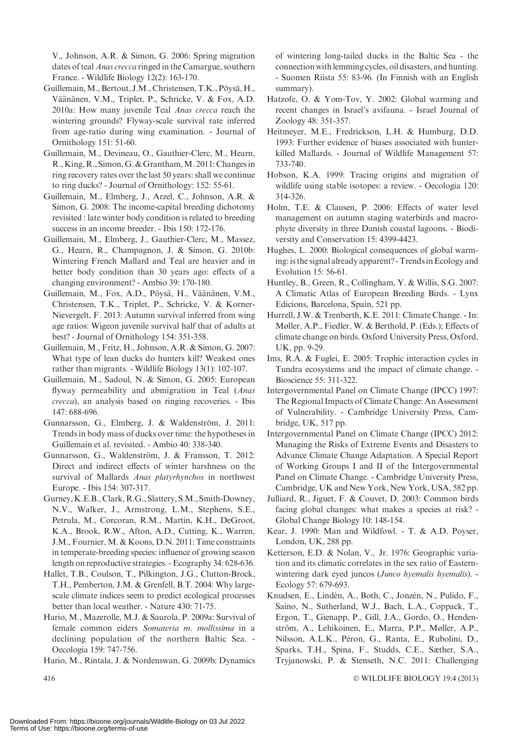V., Johnson, A.R. & Simon, G. 2006: Spring migration dates of teal *Anas crecca* ringed in the Camargue, southern France. - Wildlife Biology 12(2): 163-170.

- Guillemain, M., Bertout, J.M., Christensen, T.K., Pöysä, H., Väänänen, V.M., Triplet, P., Schricke, V. & Fox, A.D. 2010a: How many juvenile Teal *Anas crecca* reach the wintering grounds? Flyway-scale survival rate inferred from age-ratio during wing examination. - Journal of Ornithology 151: 51-60.
- Guillemain, M., Devineau, O., Gauthier-Clerc, M., Hearn, R., King, R., Simon, G. & Grantham, M. 2011: Changes in ring recovery rates over the last 50 years: shall we continue to ring ducks? - Journal of Ornithology: 152: 55-61.
- Guillemain, M., Elmberg, J., Arzel, C., Johnson, A.R. & Simon, G. 2008: The income-capital breeding dichotomy revisited : late winter body condition is related to breeding success in an income breeder. - Ibis 150: 172-176.
- Guillemain, M., Elmberg, J., Gauthier-Clerc, M., Massez, G., Hearn, R., Champagnon, J. & Simon, G. 2010b: Wintering French Mallard and Teal are heavier and in better body condition than 30 years ago: effects of a changing environment? - Ambio 39: 170-180.
- Guillemain, M., Fox, A.D., Pöysä, H., Väänänen, V.M., Christensen, T.K., Triplet, P., Schricke, V. & Korner-Nievergelt, F. 2013: Autumn survival inferred from wing age ratios: Wigeon juvenile survival half that of adults at best? - Journal of Ornithology 154: 351-358.
- Guillemain, M., Fritz, H., Johnson, A.R. & Simon, G. 2007: What type of lean ducks do hunters kill? Weakest ones rather than migrants. - Wildlife Biology 13(1): 102-107.
- Guillemain, M., Sadoul, N. & Simon, G. 2005: European flyway permeability and abmigration in Teal (Anas crecca), an analysis based on ringing recoveries. - Ibis 147: 688-696.
- Gunnarsson, G., Elmberg, J. & Waldenström, J. 2011: Trends in body mass of ducks over time: the hypotheses in Guillemain et al. revisited. - Ambio 40: 338-340.
- Gunnarsson, G., Waldenström, J. & Fransson, T. 2012: Direct and indirect effects of winter harshness on the survival of Mallards Anas platyrhynchos in northwest Europe. - Ibis 154: 307-317.
- Gurney,K.E.B., Clark,R.G., Slattery, S.M., Smith-Downey, N.V., Walker, J., Armstrong, L.M., Stephens, S.E., Petrula, M., Corcoran, R.M., Martin, K.H., DeGroot, K.A., Brook, R.W., Afton, A.D., Cutting, K., Warren, J.M., Fournier, M. & Koons, D.N. 2011: Time constraints in temperate-breeding species: influence of growing season length on reproductive strategies. - Ecography 34: 628-636.
- Hallet, T.B., Coulson, T., Pilkington, J.G., Clutton-Brock, T.H., Pemberton, J.M. & Grenfell, B.T. 2004: Why largescale climate indices seem to predict ecological processes better than local weather. - Nature 430: 71-75.
- Hario, M., Mazerolle, M.J. & Saurola, P. 2009a: Survival of female common eiders Somateria m. mollissima in a declining population of the northern Baltic Sea. - Oecologia 159: 747-756.
- Hario, M., Rintala, J. & Nordenswan, G. 2009b: Dynamics

of wintering long-tailed ducks in the Baltic Sea - the connection with lemming cycles, oil disasters, and hunting. - Suomen Riista 55: 83-96. (In Finnish with an English summary).

- Hatzofe, O. & Yom-Tov, Y. 2002: Global warming and recent changes in Israel's avifauna. - Israel Journal of Zoology 48: 351-357.
- Heitmeyer, M.E., Fredrickson, L.H. & Humburg, D.D. 1993: Further evidence of biases associated with hunterkilled Mallards. - Journal of Wildlife Management 57: 733-740.
- Hobson, K.A. 1999: Tracing origins and migration of wildlife using stable isotopes: a review. - Oecologia 120: 314-326.
- Holm, T.E. & Clausen, P. 2006: Effects of water level management on autumn staging waterbirds and macrophyte diversity in three Danish coastal lagoons. - Biodiversity and Conservation 15: 4399-4423.
- Hughes, L. 2000: Biological consequences of global warming: is the signal already apparent? - Trends in Ecology and Evolution 15: 56-61.
- Huntley, B., Green, R., Collingham, Y. & Willis, S.G. 2007: A Climatic Atlas of European Breeding Birds. - Lynx Edicions, Barcelona, Spain, 521 pp.
- Hurrell, J.W. & Trenberth, K.E. 2011: Climate Change. In: Møller, A.P., Fiedler, W. & Berthold, P. (Eds.); Effects of climate change on birds. Oxford University Press, Oxford, UK, pp. 9-29.
- Ims, R.A. & Fuglei, E. 2005: Trophic interaction cycles in Tundra ecosystems and the impact of climate change. - Bioscience 55: 311-322.
- Intergovernmental Panel on Climate Change (IPCC) 1997: The Regional Impacts of Climate Change: An Assessment of Vulnerability. - Cambridge University Press, Cambridge, UK, 517 pp.
- Intergovernmental Panel on Climate Change (IPCC) 2012: Managing the Risks of Extreme Events and Disasters to Advance Climate Change Adaptation. A Special Report of Working Groups I and II of the Intergovernmental Panel on Climate Change. - Cambridge University Press, Cambridge, UK and New York, New York, USA, 582 pp.
- Julliard, R., Jiguet, F. & Couvet, D. 2003: Common birds facing global changes: what makes a species at risk? - Global Change Biology 10: 148-154.
- Kear, J. 1990: Man and Wildfowl. T. & A.D. Poyser, London, UK, 288 pp.
- Ketterson, E.D. & Nolan, V., Jr. 1976: Geographic variation and its climatic correlates in the sex ratio of Easternwintering dark eyed juncos (Junco hyemalis hyemalis). -Ecology 57: 679-693.
- Knudsen, E., Lindén, A., Both, C., Jonzén, N., Pulido, F., Saino, N., Sutherland, W.J., Bach, L.A., Coppack, T., Ergon, T., Gienapp, P., Gill, J.A., Gordo, O., Hendenström, A., Lehikoinen, E., Marra, P.P., Møller, A.P., Nilsson, A.L.K., Péron, G., Ranta, E., Rubolini, D., Sparks, T.H., Spina, F., Studds, C.E., Sæther, S.A., Tryjanowski, P. & Stenseth, N.C. 2011: Challenging

WILDLIFE BIOLOGY 19:4 (2013)

416  $\qquad \qquad \circ$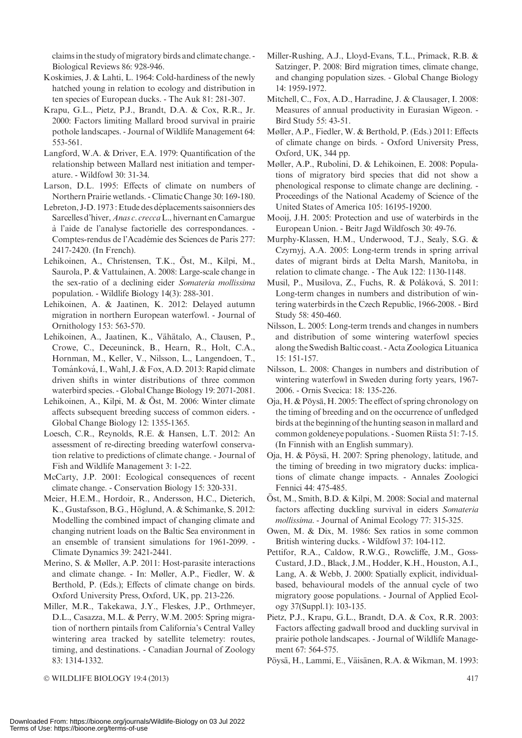claims in the study of migratory birds and climate change. -Biological Reviews 86: 928-946.

- Koskimies, J. & Lahti, L. 1964: Cold-hardiness of the newly hatched young in relation to ecology and distribution in ten species of European ducks. - The Auk 81: 281-307.
- Krapu, G.L., Pietz, P.J., Brandt, D.A. & Cox, R.R., Jr. 2000: Factors limiting Mallard brood survival in prairie pothole landscapes. - Journal of Wildlife Management 64: 553-561.
- Langford, W.A. & Driver, E.A. 1979: Quantification of the relationship between Mallard nest initiation and temperature. - Wildfowl 30: 31-34.
- Larson, D.L. 1995: Effects of climate on numbers of Northern Prairie wetlands. - Climatic Change 30: 169-180.
- Lebreton, J-D. 1973 : Etude des déplacements saisonniers des Sarcelles d'hiver, Anas c. crecca L., hivernant en Camargue a` l'aide de l'analyse factorielle des correspondances. - Comptes-rendus de l'Académie des Sciences de Paris 277: 2417-2420. (In French).
- Lehikoinen, A., Christensen, T.K., Öst, M., Kilpi, M., Saurola, P. & Vattulainen, A. 2008: Large-scale change in the sex-ratio of a declining eider Somateria mollissima population. - Wildlife Biology 14(3): 288-301.
- Lehikoinen, A. & Jaatinen, K. 2012: Delayed autumn migration in northern European waterfowl. - Journal of Ornithology 153: 563-570.
- Lehikoinen, A., Jaatinen, K., Vähätalo, A., Clausen, P., Crowe, C., Deceuninck, B., Hearn, R., Holt, C.A., Hornman, M., Keller, V., Nilsson, L., Langendoen, T., Tománková, I., Wahl, J. & Fox, A.D. 2013: Rapid climate driven shifts in winter distributions of three common waterbird species. - Global Change Biology 19: 2071-2081.
- Lehikoinen, A., Kilpi, M. & Öst, M. 2006: Winter climate affects subsequent breeding success of common eiders. - Global Change Biology 12: 1355-1365.
- Loesch, C.R., Reynolds, R.E. & Hansen, L.T. 2012: An assessment of re-directing breeding waterfowl conservation relative to predictions of climate change. - Journal of Fish and Wildlife Management 3: 1-22.
- McCarty, J.P. 2001: Ecological consequences of recent climate change. - Conservation Biology 15: 320-331.
- Meier, H.E.M., Hordoir, R., Andersson, H.C., Dieterich, K., Gustafsson, B.G., Höglund, A. & Schimanke, S. 2012: Modelling the combined impact of changing climate and changing nutrient loads on the Baltic Sea environment in an ensemble of transient simulations for 1961-2099. - Climate Dynamics 39: 2421-2441.
- Merino, S. & Møller, A.P. 2011: Host-parasite interactions and climate change. - In: Møller, A.P., Fiedler, W. & Berthold, P. (Eds.); Effects of climate change on birds. Oxford University Press, Oxford, UK, pp. 213-226.
- Miller, M.R., Takekawa, J.Y., Fleskes, J.P., Orthmeyer, D.L., Casazza, M.L. & Perry, W.M. 2005: Spring migration of northern pintails from California's Central Valley wintering area tracked by satellite telemetry: routes, timing, and destinations. - Canadian Journal of Zoology 83: 1314-1332.
- Miller-Rushing, A.J., Lloyd-Evans, T.L., Primack, R.B. & Satzinger, P. 2008: Bird migration times, climate change, and changing population sizes. - Global Change Biology 14: 1959-1972.
- Mitchell, C., Fox, A.D., Harradine, J. & Clausager, I. 2008: Measures of annual productivity in Eurasian Wigeon. - Bird Study 55: 43-51.
- Møller, A.P., Fiedler, W. & Berthold, P. (Eds.) 2011: Effects of climate change on birds. - Oxford University Press, Oxford, UK, 344 pp.
- Møller, A.P., Rubolini, D. & Lehikoinen, E. 2008: Populations of migratory bird species that did not show a phenological response to climate change are declining. - Proceedings of the National Academy of Science of the United States of America 105: 16195-19200.
- Mooij, J.H. 2005: Protection and use of waterbirds in the European Union. - Beitr Jagd Wildfosch 30: 49-76.
- Murphy-Klassen, H.M., Underwood, T.J., Sealy, S.G. & Czyrnyj, A.A. 2005: Long-term trends in spring arrival dates of migrant birds at Delta Marsh, Manitoba, in relation to climate change. - The Auk 122: 1130-1148.
- Musil, P., Musilova, Z., Fuchs, R. & Poláková, S. 2011: Long-term changes in numbers and distribution of wintering waterbirds in the Czech Republic, 1966-2008. - Bird Study 58: 450-460.
- Nilsson, L. 2005: Long-term trends and changes in numbers and distribution of some wintering waterfowl species along the Swedish Baltic coast. - Acta Zoologica Lituanica 15: 151-157.
- Nilsson, L. 2008: Changes in numbers and distribution of wintering waterfowl in Sweden during forty years, 1967- 2006. - Ornis Svecica: 18: 135-226.
- Oja, H. & Pöysä, H. 2005: The effect of spring chronology on the timing of breeding and on the occurrence of unfledged birds at the beginning of the hunting season in mallard and common goldeneye populations. - Suomen Riista 51: 7-15. (In Finnish with an English summary).
- Oja, H. & Pöysä, H. 2007: Spring phenology, latitude, and the timing of breeding in two migratory ducks: implications of climate change impacts. - Annales Zoologici Fennici 44: 475-485.
- Öst, M., Smith, B.D. & Kilpi, M. 2008: Social and maternal factors affecting duckling survival in eiders Somateria mollissima. - Journal of Animal Ecology 77: 315-325.
- Owen, M. & Dix, M. 1986: Sex ratios in some common British wintering ducks. - Wildfowl 37: 104-112.
- Pettifor, R.A., Caldow, R.W.G., Rowcliffe, J.M., Goss-Custard, J.D., Black, J.M., Hodder, K.H., Houston, A.I., Lang, A. & Webb, J. 2000: Spatially explicit, individualbased, behavioural models of the annual cycle of two migratory goose populations. - Journal of Applied Ecology 37(Suppl.1): 103-135.
- Pietz, P.J., Krapu, G.L., Brandt, D.A. & Cox, R.R. 2003: Factors affecting gadwall brood and duckling survival in prairie pothole landscapes. - Journal of Wildlife Management 67: 564-575.
- Pöysä, H., Lammi, E., Väisänen, R.A. & Wikman, M. 1993:

© WILDLIFE BIOLOGY 19:4 (2013) 417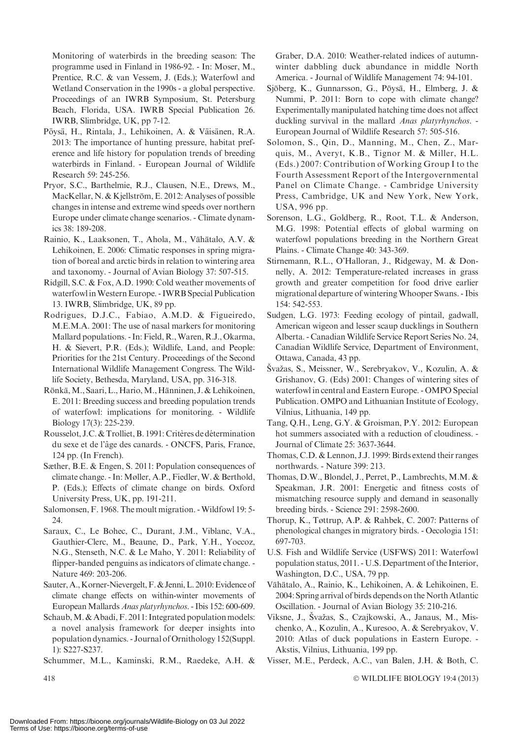Monitoring of waterbirds in the breeding season: The programme used in Finland in 1986-92. - In: Moser, M., Prentice, R.C. & van Vessem, J. (Eds.); Waterfowl and Wetland Conservation in the 1990s - a global perspective. Proceedings of an IWRB Symposium, St. Petersburg Beach, Florida, USA. IWRB Special Publication 26. IWRB, Slimbridge, UK, pp 7-12.

- Pöysä, H., Rintala, J., Lehikoinen, A. & Väisänen, R.A. 2013: The importance of hunting pressure, habitat preference and life history for population trends of breeding waterbirds in Finland. - European Journal of Wildlife Research 59: 245-256.
- Pryor, S.C., Barthelmie, R.J., Clausen, N.E., Drews, M., MacKellar, N. & Kjellström, E. 2012: Analyses of possible changes in intense and extreme wind speeds over northern Europe under climate change scenarios. - Climate dynamics 38: 189-208.
- Rainio, K., Laaksonen, T., Ahola, M., Vähätalo, A.V. & Lehikoinen, E. 2006: Climatic responses in spring migration of boreal and arctic birds in relation to wintering area and taxonomy. - Journal of Avian Biology 37: 507-515.
- Ridgill, S.C. & Fox, A.D. 1990: Cold weather movements of waterfowl inWestern Europe. - IWRB Special Publication 13. IWRB, Slimbridge, UK, 89 pp.
- Rodrigues, D.J.C., Fabiao, A.M.D. & Figueiredo, M.E.M.A. 2001: The use of nasal markers for monitoring Mallard populations. - In: Field, R.,Waren, R.J., Okarma, H. & Sievert, P.R. (Eds.); Wildlife, Land, and People: Priorities for the 21st Century. Proceedings of the Second International Wildlife Management Congress. The Wildlife Society, Bethesda, Maryland, USA, pp. 316-318.
- Rönkä, M., Saari, L., Hario, M., Hänninen, J. & Lehikoinen, E. 2011: Breeding success and breeding population trends of waterfowl: implications for monitoring. - Wildlife Biology 17(3): 225-239.
- Rousselot, J.C. & Trolliet, B. 1991: Critères de détermination du sexe et de l'âge des canards. - ONCFS, Paris, France, 124 pp. (In French).
- Sæther, B.E. & Engen, S. 2011: Population consequences of climate change. - In: Møller, A.P., Fiedler,W. & Berthold, P. (Eds.); Effects of climate change on birds. Oxford University Press, UK, pp. 191-211.
- Salomonsen, F. 1968. The moult migration. -Wildfowl 19: 5- 24.
- Saraux, C., Le Bohec, C., Durant, J.M., Viblanc, V.A., Gauthier-Clerc, M., Beaune, D., Park, Y.H., Yoccoz, N.G., Stenseth, N.C. & Le Maho, Y. 2011: Reliability of flipper-banded penguins as indicators of climate change. - Nature 469: 203-206.
- Sauter, A., Korner-Nievergelt, F. & Jenni, L. 2010: Evidence of climate change effects on within-winter movements of European Mallards Anas platyrhynchos. - Ibis 152: 600-609.
- Schaub, M. & Abadi, F. 2011: Integrated population models: a novel analysis framework for deeper insights into population dynamics. - Journal of Ornithology 152(Suppl. 1): S227-S237.
- Schummer, M.L., Kaminski, R.M., Raedeke, A.H. &

Graber, D.A. 2010: Weather-related indices of autumnwinter dabbling duck abundance in middle North America. - Journal of Wildlife Management 74: 94-101.

- Sjöberg, K., Gunnarsson, G., Pöysä, H., Elmberg, J. & Nummi, P. 2011: Born to cope with climate change? Experimentally manipulated hatching time does not affect duckling survival in the mallard *Anas platyrhynchos*. -European Journal of Wildlife Research 57: 505-516.
- Solomon, S., Qin, D., Manning, M., Chen, Z., Marquis, M., Averyt, K.B., Tignor M. & Miller, H.L. (Eds.) 2007: Contribution of Working Group I to the Fourth Assessment Report of the Intergovernmental Panel on Climate Change. - Cambridge University Press, Cambridge, UK and New York, New York, USA, 996 pp.
- Sorenson, L.G., Goldberg, R., Root, T.L. & Anderson, M.G. 1998: Potential effects of global warming on waterfowl populations breeding in the Northern Great Plains. - Climate Change 40: 343-369.
- Stirnemann, R.L., O'Halloran, J., Ridgeway, M. & Donnelly, A. 2012: Temperature-related increases in grass growth and greater competition for food drive earlier migrational departure of winteringWhooper Swans. - Ibis 154: 542-553.
- Sudgen, L.G. 1973: Feeding ecology of pintail, gadwall, American wigeon and lesser scaup ducklings in Southern Alberta. - CanadianWildlife Service Report Series No. 24, Canadian Wildlife Service, Department of Environment, Ottawa, Canada, 43 pp.
- Švažas, S., Meissner, W., Serebryakov, V., Kozulin, A. & Grishanov, G. (Eds) 2001: Changes of wintering sites of waterfowl in central and Eastern Europe. - OMPO Special Publication. OMPO and Lithuanian Institute of Ecology, Vilnius, Lithuania, 149 pp.
- Tang, Q.H., Leng, G.Y. & Groisman, P.Y. 2012: European hot summers associated with a reduction of cloudiness. - Journal of Climate 25: 3637-3644.
- Thomas, C.D. & Lennon, J.J. 1999: Birds extend their ranges northwards. - Nature 399: 213.
- Thomas, D.W., Blondel, J., Perret, P., Lambrechts, M.M. & Speakman, J.R. 2001: Energetic and fitness costs of mismatching resource supply and demand in seasonally breeding birds. - Science 291: 2598-2600.
- Thorup, K., Tøttrup, A.P. & Rahbek, C. 2007: Patterns of phenological changes in migratory birds. - Oecologia 151: 697-703.
- U.S. Fish and Wildlife Service (USFWS) 2011: Waterfowl population status, 2011. - U.S. Department of the Interior, Washington, D.C., USA, 79 pp.
- Vähätalo, A., Rainio, K., Lehikoinen, A. & Lehikoinen, E. 2004: Spring arrival of birds depends on the North Atlantic Oscillation. - Journal of Avian Biology 35: 210-216.
- Viksne, J., Švažas, S., Czajkowski, A., Janaus, M., Mischenko, A., Kozulin, A., Kuresoo, A. & Serebryakov, V. 2010: Atlas of duck populations in Eastern Europe. - Akstis, Vilnius, Lithuania, 199 pp.
- Visser, M.E., Perdeck, A.C., van Balen, J.H. & Both, C.

WILDLIFE BIOLOGY 19:4 (2013)